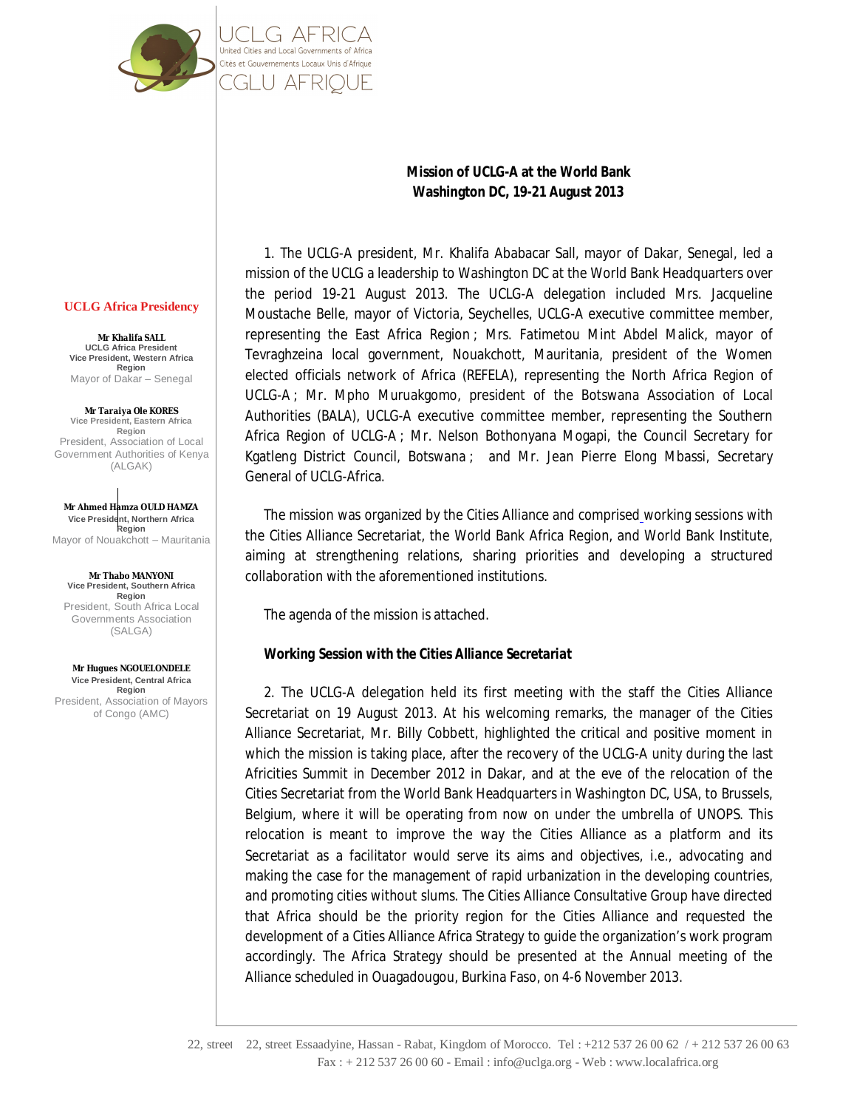

# **Washington DC, 19-21 August 2013**

**Mission of UCLG-A at the World Bank**

1. The UCLG-A president, Mr. Khalifa Ababacar Sall, mayor of Dakar, Senegal, led a mission of the UCLG a leadership to Washington DC at the World Bank Headquarters over the period 19-21 August 2013. The UCLG-A delegation included Mrs. Jacqueline Moustache Belle, mayor of Victoria, Seychelles, UCLG-A executive committee member, representing the East Africa Region ; Mrs. Fatimetou Mint Abdel Malick, mayor of Tevraghzeina local government, Nouakchott, Mauritania, president of the Women elected officials network of Africa (REFELA), representing the North Africa Region of UCLG-A ; Mr. Mpho Muruakgomo, president of the Botswana Association of Local Authorities (BALA), UCLG-A executive committee member, representing the Southern Africa Region of UCLG-A ; Mr. Nelson Bothonyana Mogapi, the Council Secretary for Kgatleng District Council, Botswana ; and Mr. Jean Pierre Elong Mbassi, Secretary General of UCLG-Africa.

The mission was organized by the Cities Alliance and comprised working sessions with the Cities Alliance Secretariat, the World Bank Africa Region, and World Bank Institute, aiming at strengthening relations, sharing priorities and developing a structured collaboration with the aforementioned institutions.

The agenda of the mission is attached.

# *Working Session with the Cities Alliance Secretariat*

2. The UCLG-A delegation held its first meeting with the staff the Cities Alliance Secretariat on 19 August 2013. At his welcoming remarks, the manager of the Cities Alliance Secretariat, Mr. Billy Cobbett, highlighted the critical and positive moment in which the mission is taking place, after the recovery of the UCLG-A unity during the last Africities Summit in December 2012 in Dakar, and at the eve of the relocation of the Cities Secretariat from the World Bank Headquarters in Washington DC, USA, to Brussels, Belgium, where it will be operating from now on under the umbrella of UNOPS. This relocation is meant to improve the way the Cities Alliance as a platform and its Secretariat as a facilitator would serve its aims and objectives, i.e., advocating and making the case for the management of rapid urbanization in the developing countries, and promoting cities without slums. The Cities Alliance Consultative Group have directed that Africa should be the priority region for the Cities Alliance and requested the development of a Cities Alliance Africa Strategy to guide the organization's work program accordingly. The Africa Strategy should be presented at the Annual meeting of the Alliance scheduled in Ouagadougou, Burkina Faso, on 4-6 November 2013.

#### **UCLG Africa Presidency**

**Mr Khalifa SALL UCLG Africa President Vice President, Western Africa Region** Mayor of Dakar – Senegal

**Mr Taraiya Ole KORES Vice President, Eastern Africa Region** President, Association of Local Government Authorities of Kenya (ALGAK)

**Mr Ahmed Hamza OULD HAMZA Vice President, Northern Africa Region** Mayor of Nouakchott – Mauritania

**Mr Thabo MANYONI Vice President, Southern Africa Region** President, South Africa Local Governments Association (SALGA)

**Mr Hugues NGOUELONDELE Vice President, Central Africa Region** President, Association of Mayors of Congo (AMC)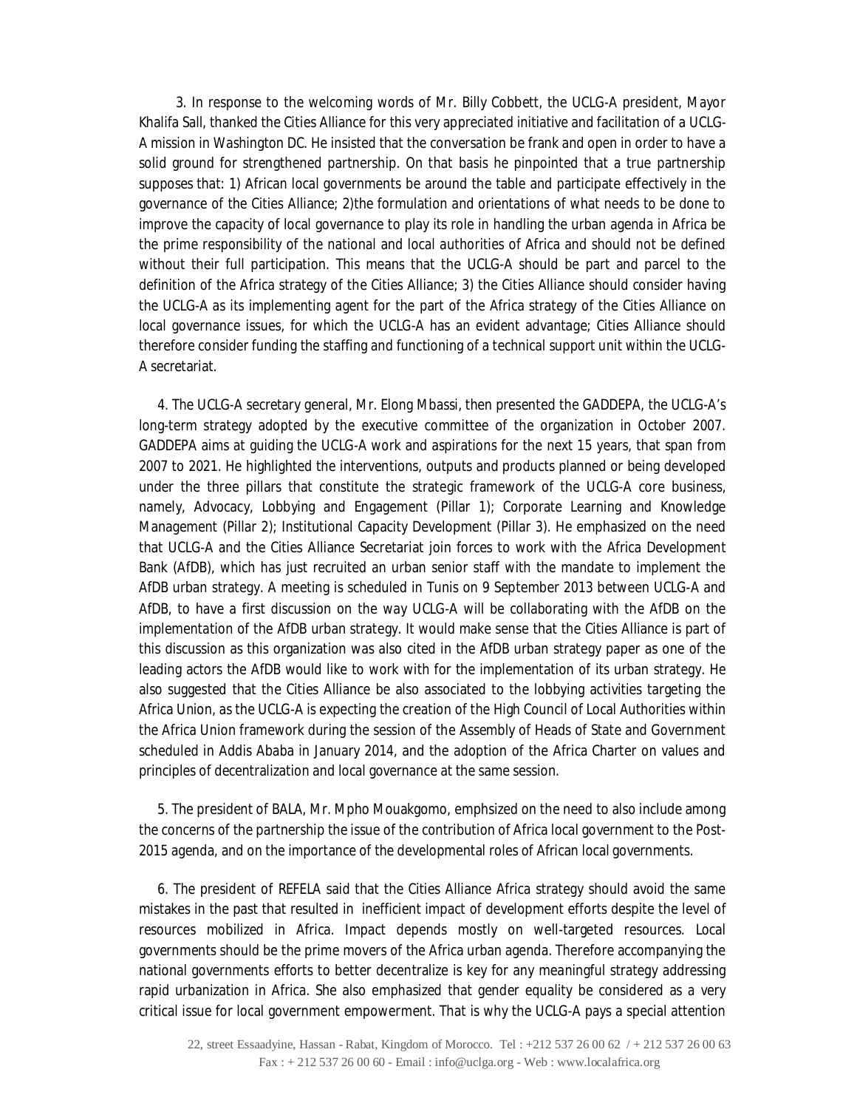3. In response to the welcoming words of Mr. Billy Cobbett, the UCLG-A president, Mayor Khalifa Sall, thanked the Cities Alliance for this very appreciated initiative and facilitation of a UCLG-A mission in Washington DC. He insisted that the conversation be frank and open in order to have a solid ground for strengthened partnership. On that basis he pinpointed that a true partnership supposes that: 1) African local governments be around the table and participate effectively in the governance of the Cities Alliance; 2)the formulation and orientations of what needs to be done to improve the capacity of local governance to play its role in handling the urban agenda in Africa be the prime responsibility of the national and local authorities of Africa and should not be defined without their full participation. This means that the UCLG-A should be part and parcel to the definition of the Africa strategy of the Cities Alliance; 3) the Cities Alliance should consider having the UCLG-A as its implementing agent for the part of the Africa strategy of the Cities Alliance on local governance issues, for which the UCLG-A has an evident advantage; Cities Alliance should therefore consider funding the staffing and functioning of a technical support unit within the UCLG-A secretariat.

4. The UCLG-A secretary general, Mr. Elong Mbassi, then presented the GADDEPA, the UCLG-A's long-term strategy adopted by the executive committee of the organization in October 2007. GADDEPA aims at guiding the UCLG-A work and aspirations for the next 15 years, that span from 2007 to 2021. He highlighted the interventions, outputs and products planned or being developed under the three pillars that constitute the strategic framework of the UCLG-A core business, namely, Advocacy, Lobbying and Engagement (Pillar 1); Corporate Learning and Knowledge Management (Pillar 2); Institutional Capacity Development (Pillar 3). He emphasized on the need that UCLG-A and the Cities Alliance Secretariat join forces to work with the Africa Development Bank (AfDB), which has just recruited an urban senior staff with the mandate to implement the AfDB urban strategy. A meeting is scheduled in Tunis on 9 September 2013 between UCLG-A and AfDB, to have a first discussion on the way UCLG-A will be collaborating with the AfDB on the implementation of the AfDB urban strategy. It would make sense that the Cities Alliance is part of this discussion as this organization was also cited in the AfDB urban strategy paper as one of the leading actors the AfDB would like to work with for the implementation of its urban strategy. He also suggested that the Cities Alliance be also associated to the lobbying activities targeting the Africa Union, as the UCLG-A is expecting the creation of the High Council of Local Authorities within the Africa Union framework during the session of the Assembly of Heads of State and Government scheduled in Addis Ababa in January 2014, and the adoption of the Africa Charter on values and principles of decentralization and local governance at the same session.

5. The president of BALA, Mr. Mpho Mouakgomo, emphsized on the need to also include among the concerns of the partnership the issue of the contribution of Africa local government to the Post-2015 agenda, and on the importance of the developmental roles of African local governments.

6. The president of REFELA said that the Cities Alliance Africa strategy should avoid the same mistakes in the past that resulted in inefficient impact of development efforts despite the level of resources mobilized in Africa. Impact depends mostly on well-targeted resources. Local governments should be the prime movers of the Africa urban agenda. Therefore accompanying the national governments efforts to better decentralize is key for any meaningful strategy addressing rapid urbanization in Africa. She also emphasized that gender equality be considered as a very critical issue for local government empowerment. That is why the UCLG-A pays a special attention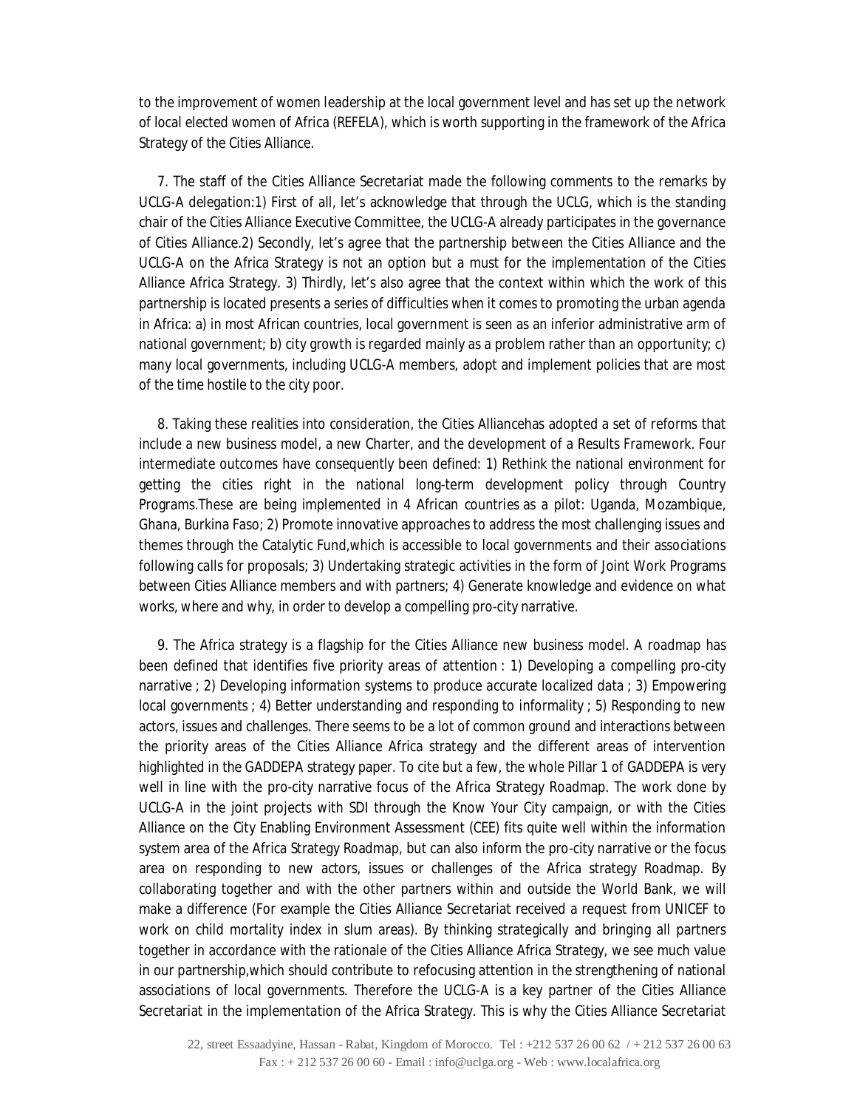to the improvement of women leadership at the local government level and has set up the network of local elected women of Africa (REFELA), which is worth supporting in the framework of the Africa Strategy of the Cities Alliance.

7. The staff of the Cities Alliance Secretariat made the following comments to the remarks by UCLG-A delegation:1) First of all, let's acknowledge that through the UCLG, which is the standing chair of the Cities Alliance Executive Committee, the UCLG-A already participates in the governance of Cities Alliance.2) Secondly, let's agree that the partnership between the Cities Alliance and the UCLG-A on the Africa Strategy is not an option but a must for the implementation of the Cities Alliance Africa Strategy. 3) Thirdly, let's also agree that the context within which the work of this partnership is located presents a series of difficulties when it comes to promoting the urban agenda in Africa: a) in most African countries, local government is seen as an inferior administrative arm of national government; b) city growth is regarded mainly as a problem rather than an opportunity; c) many local governments, including UCLG-A members, adopt and implement policies that are most of the time hostile to the city poor.

8. Taking these realities into consideration, the Cities Alliancehas adopted a set of reforms that include a new business model, a new Charter, and the development of a Results Framework. Four intermediate outcomes have consequently been defined: 1) Rethink the national environment for getting the cities right in the national long-term development policy through Country Programs.These are being implemented in 4 African countries as a pilot: Uganda, Mozambique, Ghana, Burkina Faso; 2) Promote innovative approaches to address the most challenging issues and themes through the Catalytic Fund,which is accessible to local governments and their associations following calls for proposals; 3) Undertaking strategic activities in the form of Joint Work Programs between Cities Alliance members and with partners; 4) Generate knowledge and evidence on what works, where and why, in order to develop a compelling pro-city narrative.

9. The Africa strategy is a flagship for the Cities Alliance new business model. A roadmap has been defined that identifies five priority areas of attention : 1) Developing a compelling pro-city narrative ; 2) Developing information systems to produce accurate localized data ; 3) Empowering local governments ; 4) Better understanding and responding to informality ; 5) Responding to new actors, issues and challenges. There seems to be a lot of common ground and interactions between the priority areas of the Cities Alliance Africa strategy and the different areas of intervention highlighted in the GADDEPA strategy paper. To cite but a few, the whole Pillar 1 of GADDEPA is very well in line with the pro-city narrative focus of the Africa Strategy Roadmap. The work done by UCLG-A in the joint projects with SDI through the Know Your City campaign, or with the Cities Alliance on the City Enabling Environment Assessment (CEE) fits quite well within the information system area of the Africa Strategy Roadmap, but can also inform the pro-city narrative or the focus area on responding to new actors, issues or challenges of the Africa strategy Roadmap. By collaborating together and with the other partners within and outside the World Bank, we will make a difference (For example the Cities Alliance Secretariat received a request from UNICEF to work on child mortality index in slum areas). By thinking strategically and bringing all partners together in accordance with the rationale of the Cities Alliance Africa Strategy, we see much value in our partnership,which should contribute to refocusing attention in the strengthening of national associations of local governments. Therefore the UCLG-A is a key partner of the Cities Alliance Secretariat in the implementation of the Africa Strategy. This is why the Cities Alliance Secretariat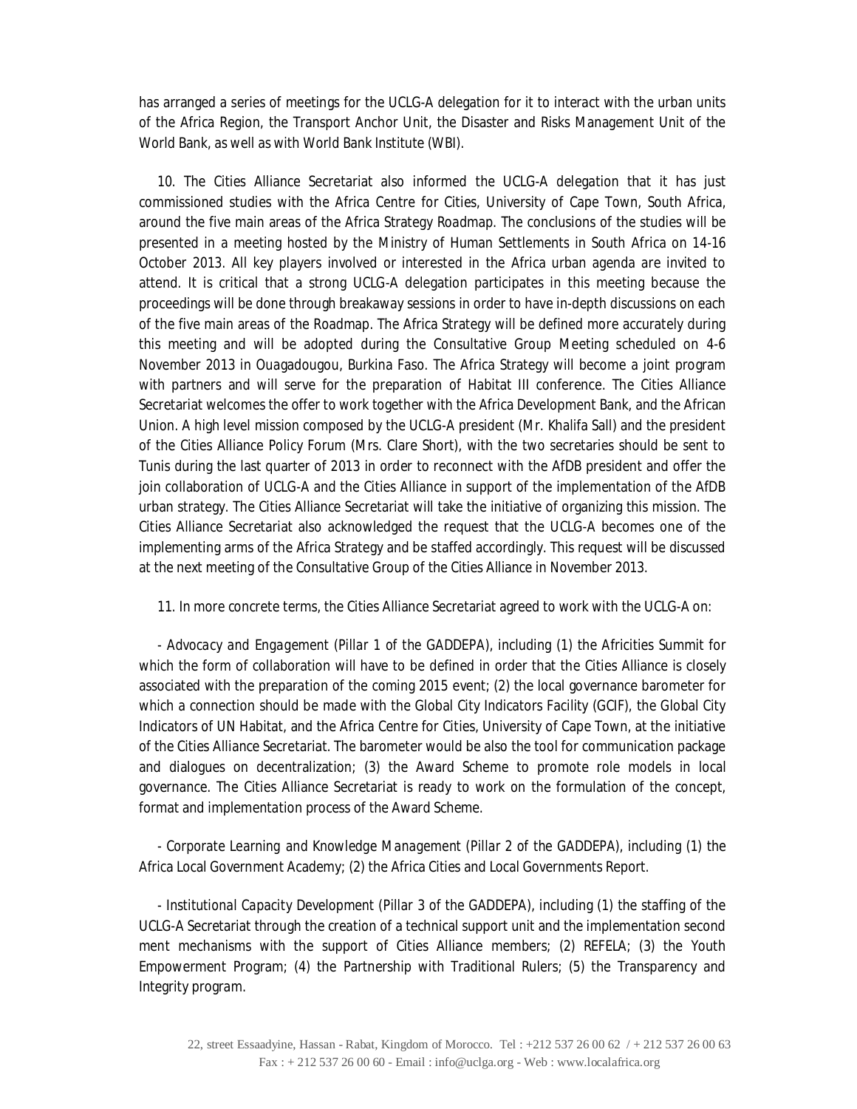has arranged a series of meetings for the UCLG-A delegation for it to interact with the urban units of the Africa Region, the Transport Anchor Unit, the Disaster and Risks Management Unit of the World Bank, as well as with World Bank Institute (WBI).

10. The Cities Alliance Secretariat also informed the UCLG-A delegation that it has just commissioned studies with the Africa Centre for Cities, University of Cape Town, South Africa, around the five main areas of the Africa Strategy Roadmap. The conclusions of the studies will be presented in a meeting hosted by the Ministry of Human Settlements in South Africa on 14-16 October 2013. All key players involved or interested in the Africa urban agenda are invited to attend. It is critical that a strong UCLG-A delegation participates in this meeting because the proceedings will be done through breakaway sessions in order to have in-depth discussions on each of the five main areas of the Roadmap. The Africa Strategy will be defined more accurately during this meeting and will be adopted during the Consultative Group Meeting scheduled on 4-6 November 2013 in Ouagadougou, Burkina Faso. The Africa Strategy will become a joint program with partners and will serve for the preparation of Habitat III conference. The Cities Alliance Secretariat welcomes the offer to work together with the Africa Development Bank, and the African Union. A high level mission composed by the UCLG-A president (Mr. Khalifa Sall) and the president of the Cities Alliance Policy Forum (Mrs. Clare Short), with the two secretaries should be sent to Tunis during the last quarter of 2013 in order to reconnect with the AfDB president and offer the join collaboration of UCLG-A and the Cities Alliance in support of the implementation of the AfDB urban strategy. The Cities Alliance Secretariat will take the initiative of organizing this mission. The Cities Alliance Secretariat also acknowledged the request that the UCLG-A becomes one of the implementing arms of the Africa Strategy and be staffed accordingly. This request will be discussed at the next meeting of the Consultative Group of the Cities Alliance in November 2013.

11. In more concrete terms, the Cities Alliance Secretariat agreed to work with the UCLG-A on:

- *Advocacy and Engagement (Pillar 1 of the GADDEPA)*, including (1) the Africities Summit for which the form of collaboration will have to be defined in order that the Cities Alliance is closely associated with the preparation of the coming 2015 event; (2) the local governance barometer for which a connection should be made with the Global City Indicators Facility (GCIF), the Global City Indicators of UN Habitat, and the Africa Centre for Cities, University of Cape Town, at the initiative of the Cities Alliance Secretariat. The barometer would be also the tool for communication package and dialogues on decentralization; (3) the Award Scheme to promote role models in local governance. The Cities Alliance Secretariat is ready to work on the formulation of the concept, format and implementation process of the Award Scheme.

- *Corporate Learning and Knowledge Management (Pillar 2 of the GADDEPA)*, including (1) the Africa Local Government Academy; (2) the Africa Cities and Local Governments Report.

- *Institutional Capacity Development (Pillar 3 of the GADDEPA)*, including (1) the staffing of the UCLG-A Secretariat through the creation of a technical support unit and the implementation second ment mechanisms with the support of Cities Alliance members; (2) REFELA; (3) the Youth Empowerment Program; (4) the Partnership with Traditional Rulers; (5) the Transparency and Integrity program.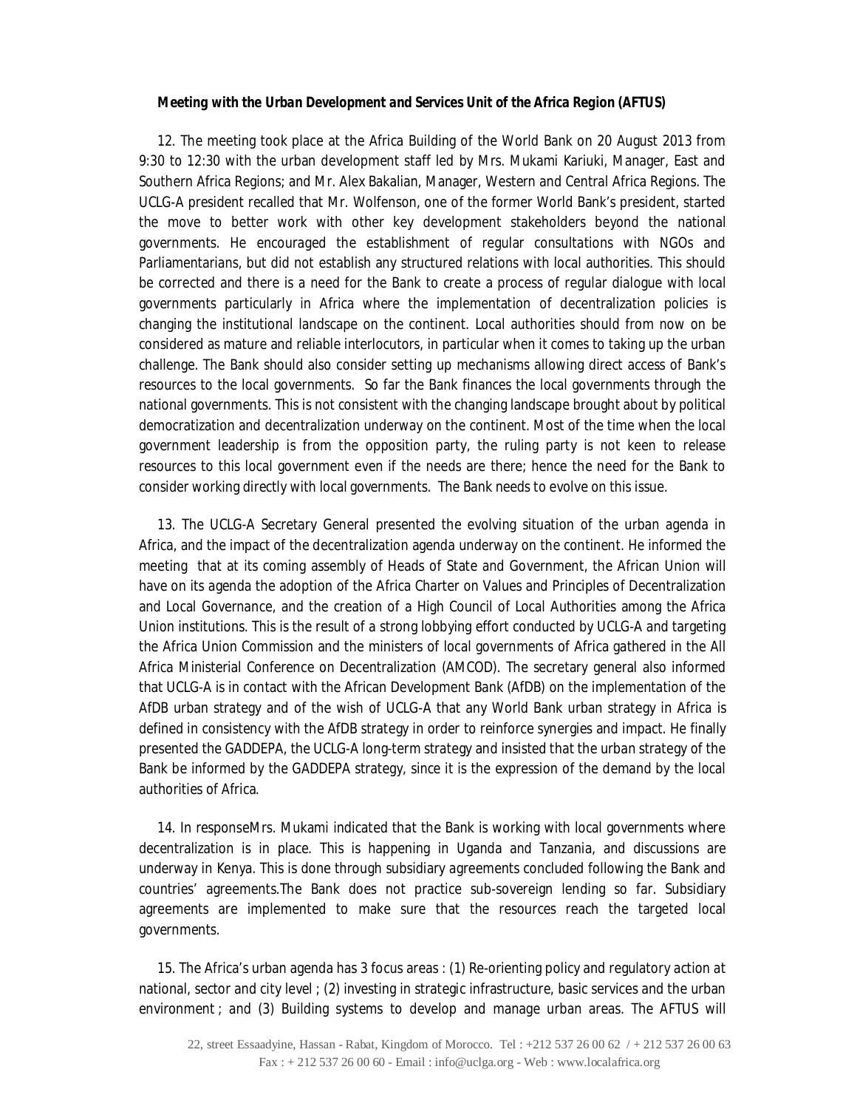#### *Meeting with the Urban Development and Services Unit of the Africa Region (AFTUS)*

12. The meeting took place at the Africa Building of the World Bank on 20 August 2013 from 9:30 to 12:30 with the urban development staff led by Mrs. Mukami Kariuki, Manager, East and Southern Africa Regions; and Mr. Alex Bakalian, Manager, Western and Central Africa Regions. The UCLG-A president recalled that Mr. Wolfenson, one of the former World Bank's president, started the move to better work with other key development stakeholders beyond the national governments. He encouraged the establishment of regular consultations with NGOs and Parliamentarians, but did not establish any structured relations with local authorities. This should be corrected and there is a need for the Bank to create a process of regular dialogue with local governments particularly in Africa where the implementation of decentralization policies is changing the institutional landscape on the continent. Local authorities should from now on be considered as mature and reliable interlocutors, in particular when it comes to taking up the urban challenge. The Bank should also consider setting up mechanisms allowing direct access of Bank's resources to the local governments. So far the Bank finances the local governments through the national governments. This is not consistent with the changing landscape brought about by political democratization and decentralization underway on the continent. Most of the time when the local government leadership is from the opposition party, the ruling party is not keen to release resources to this local government even if the needs are there; hence the need for the Bank to consider working directly with local governments. The Bank needs to evolve on this issue.

13. The UCLG-A Secretary General presented the evolving situation of the urban agenda in Africa, and the impact of the decentralization agenda underway on the continent. He informed the meeting that at its coming assembly of Heads of State and Government, the African Union will have on its agenda the adoption of the Africa Charter on Values and Principles of Decentralization and Local Governance, and the creation of a High Council of Local Authorities among the Africa Union institutions. This is the result of a strong lobbying effort conducted by UCLG-A and targeting the Africa Union Commission and the ministers of local governments of Africa gathered in the All Africa Ministerial Conference on Decentralization (AMCOD). The secretary general also informed that UCLG-A is in contact with the African Development Bank (AfDB) on the implementation of the AfDB urban strategy and of the wish of UCLG-A that any World Bank urban strategy in Africa is defined in consistency with the AfDB strategy in order to reinforce synergies and impact. He finally presented the GADDEPA, the UCLG-A long-term strategy and insisted that the urban strategy of the Bank be informed by the GADDEPA strategy, since it is the expression of the demand by the local authorities of Africa.

14. In responseMrs. Mukami indicated that the Bank is working with local governments where decentralization is in place. This is happening in Uganda and Tanzania, and discussions are underway in Kenya. This is done through subsidiary agreements concluded following the Bank and countries' agreements.The Bank does not practice sub-sovereign lending so far. Subsidiary agreements are implemented to make sure that the resources reach the targeted local governments.

15. The Africa's urban agenda has 3 focus areas : (1) Re-orienting policy and regulatory action at national, sector and city level ; (2) investing in strategic infrastructure, basic services and the urban environment ; and (3) Building systems to develop and manage urban areas. The AFTUS will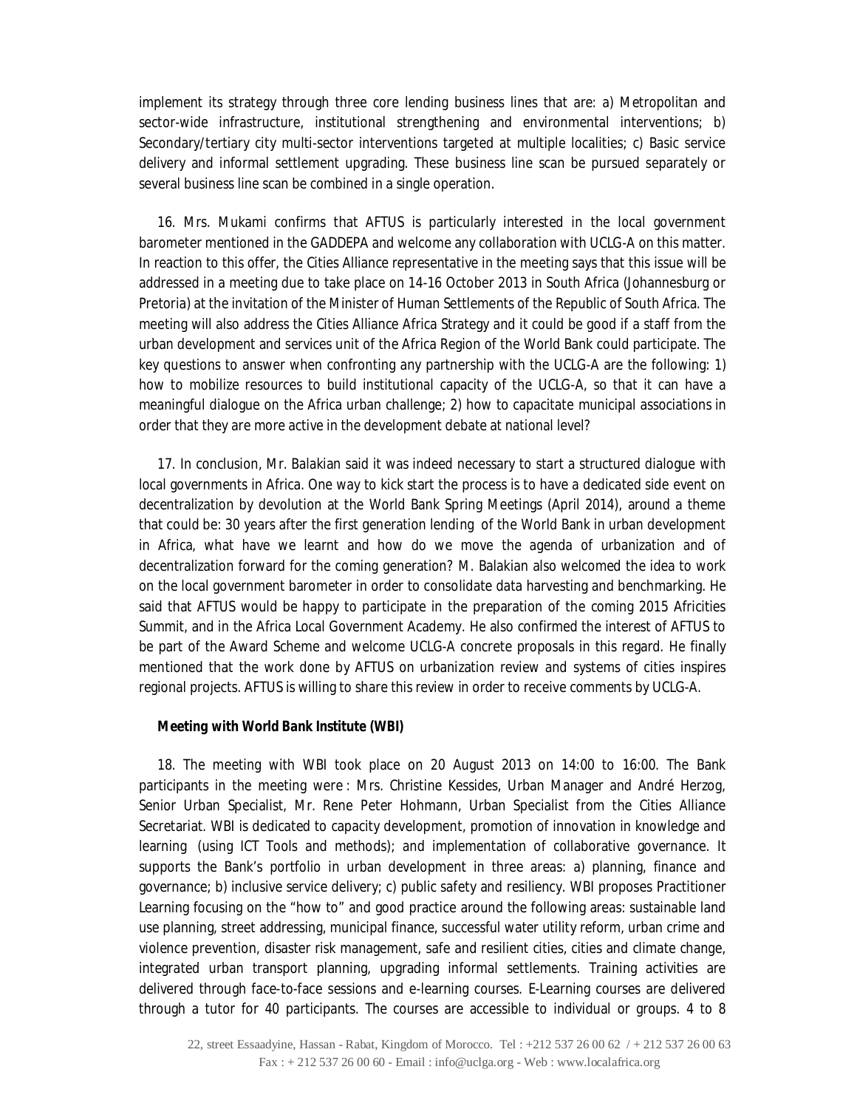implement its strategy through three core lending business lines that are: a) Metropolitan and sector-wide infrastructure, institutional strengthening and environmental interventions; b) Secondary/tertiary city multi-sector interventions targeted at multiple localities; c) Basic service delivery and informal settlement upgrading. These business line scan be pursued separately or several business line scan be combined in a single operation.

16. Mrs. Mukami confirms that AFTUS is particularly interested in the local government barometer mentioned in the GADDEPA and welcome any collaboration with UCLG-A on this matter. In reaction to this offer, the Cities Alliance representative in the meeting says that this issue will be addressed in a meeting due to take place on 14-16 October 2013 in South Africa (Johannesburg or Pretoria) at the invitation of the Minister of Human Settlements of the Republic of South Africa. The meeting will also address the Cities Alliance Africa Strategy and it could be good if a staff from the urban development and services unit of the Africa Region of the World Bank could participate. The key questions to answer when confronting any partnership with the UCLG-A are the following: 1) how to mobilize resources to build institutional capacity of the UCLG-A, so that it can have a meaningful dialogue on the Africa urban challenge; 2) how to capacitate municipal associations in order that they are more active in the development debate at national level?

17. In conclusion, Mr. Balakian said it was indeed necessary to start a structured dialogue with local governments in Africa. One way to kick start the process is to have a dedicated side event on decentralization by devolution at the World Bank Spring Meetings (April 2014), around a theme that could be: 30 years after the first generation lending of the World Bank in urban development in Africa, what have we learnt and how do we move the agenda of urbanization and of decentralization forward for the coming generation? M. Balakian also welcomed the idea to work on the local government barometer in order to consolidate data harvesting and benchmarking. He said that AFTUS would be happy to participate in the preparation of the coming 2015 Africities Summit, and in the Africa Local Government Academy. He also confirmed the interest of AFTUS to be part of the Award Scheme and welcome UCLG-A concrete proposals in this regard. He finally mentioned that the work done by AFTUS on urbanization review and systems of cities inspires regional projects. AFTUS is willing to share this review in order to receive comments by UCLG-A.

### *Meeting with World Bank Institute (WBI)*

18. The meeting with WBI took place on 20 August 2013 on 14:00 to 16:00. The Bank participants in the meeting were : Mrs. Christine Kessides, Urban Manager and André Herzog, Senior Urban Specialist, Mr. Rene Peter Hohmann, Urban Specialist from the Cities Alliance Secretariat. WBI is dedicated to capacity development, promotion of innovation in knowledge and learning (using ICT Tools and methods); and implementation of collaborative governance. It supports the Bank's portfolio in urban development in three areas: a) planning, finance and governance; b) inclusive service delivery; c) public safety and resiliency. WBI proposes Practitioner Learning focusing on the "how to" and good practice around the following areas: sustainable land use planning, street addressing, municipal finance, successful water utility reform, urban crime and violence prevention, disaster risk management, safe and resilient cities, cities and climate change, integrated urban transport planning, upgrading informal settlements. Training activities are delivered through face-to-face sessions and e-learning courses. E-Learning courses are delivered through a tutor for 40 participants. The courses are accessible to individual or groups. 4 to 8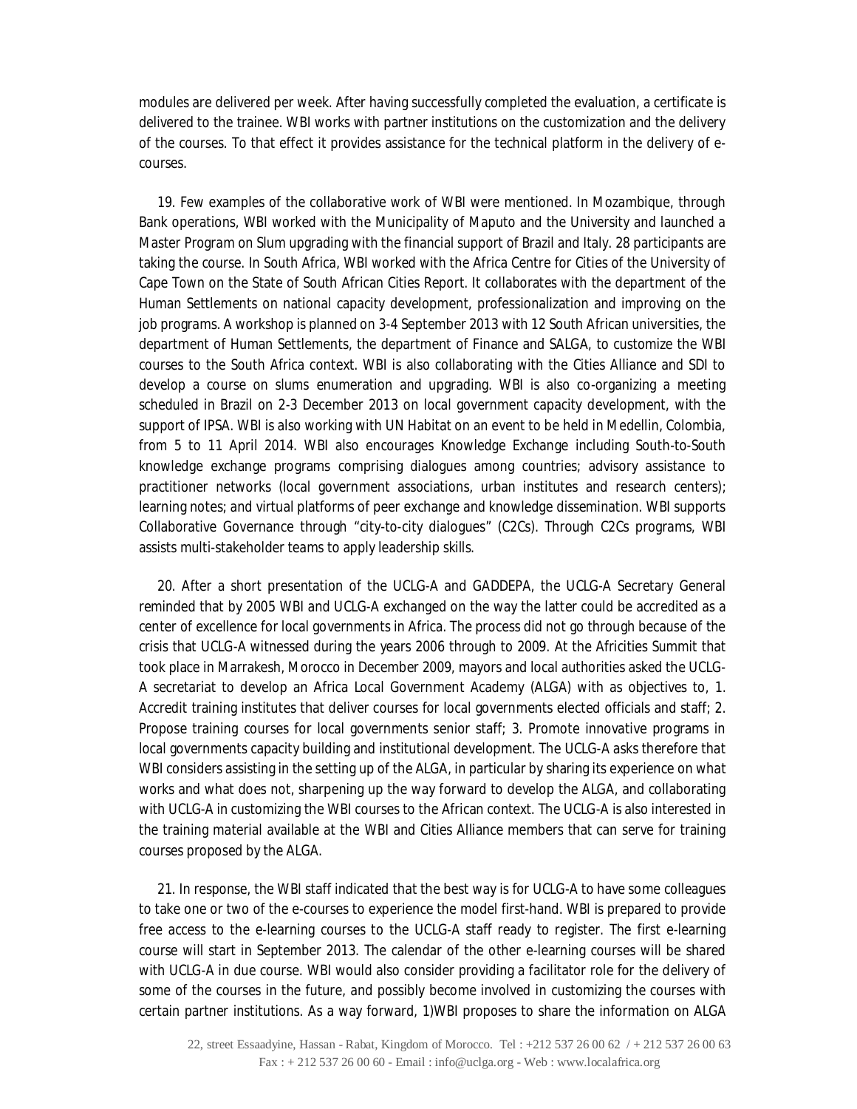modules are delivered per week. After having successfully completed the evaluation, a certificate is delivered to the trainee. WBI works with partner institutions on the customization and the delivery of the courses. To that effect it provides assistance for the technical platform in the delivery of ecourses.

19. Few examples of the collaborative work of WBI were mentioned. In Mozambique, through Bank operations, WBI worked with the Municipality of Maputo and the University and launched a Master Program on Slum upgrading with the financial support of Brazil and Italy. 28 participants are taking the course. In South Africa, WBI worked with the Africa Centre for Cities of the University of Cape Town on the State of South African Cities Report. It collaborates with the department of the Human Settlements on national capacity development, professionalization and improving on the job programs. A workshop is planned on 3-4 September 2013 with 12 South African universities, the department of Human Settlements, the department of Finance and SALGA, to customize the WBI courses to the South Africa context. WBI is also collaborating with the Cities Alliance and SDI to develop a course on slums enumeration and upgrading. WBI is also co-organizing a meeting scheduled in Brazil on 2-3 December 2013 on local government capacity development, with the support of IPSA. WBI is also working with UN Habitat on an event to be held in Medellin, Colombia, from 5 to 11 April 2014. WBI also encourages Knowledge Exchange including South-to-South knowledge exchange programs comprising dialogues among countries; advisory assistance to practitioner networks (local government associations, urban institutes and research centers); learning notes; and virtual platforms of peer exchange and knowledge dissemination. WBI supports Collaborative Governance through "city-to-city dialogues" (C2Cs). Through C2Cs programs, WBI assists multi-stakeholder teams to apply leadership skills.

20. After a short presentation of the UCLG-A and GADDEPA, the UCLG-A Secretary General reminded that by 2005 WBI and UCLG-A exchanged on the way the latter could be accredited as a center of excellence for local governments in Africa. The process did not go through because of the crisis that UCLG-A witnessed during the years 2006 through to 2009. At the Africities Summit that took place in Marrakesh, Morocco in December 2009, mayors and local authorities asked the UCLG-A secretariat to develop an Africa Local Government Academy (ALGA) with as objectives to, 1. Accredit training institutes that deliver courses for local governments elected officials and staff; 2. Propose training courses for local governments senior staff; 3. Promote innovative programs in local governments capacity building and institutional development. The UCLG-A asks therefore that WBI considers assisting in the setting up of the ALGA, in particular by sharing its experience on what works and what does not, sharpening up the way forward to develop the ALGA, and collaborating with UCLG-A in customizing the WBI courses to the African context. The UCLG-A is also interested in the training material available at the WBI and Cities Alliance members that can serve for training courses proposed by the ALGA.

21. In response, the WBI staff indicated that the best way is for UCLG-A to have some colleagues to take one or two of the e-courses to experience the model first-hand. WBI is prepared to provide free access to the e-learning courses to the UCLG-A staff ready to register. The first e-learning course will start in September 2013. The calendar of the other e-learning courses will be shared with UCLG-A in due course. WBI would also consider providing a facilitator role for the delivery of some of the courses in the future, and possibly become involved in customizing the courses with certain partner institutions. As a way forward, 1)WBI proposes to share the information on ALGA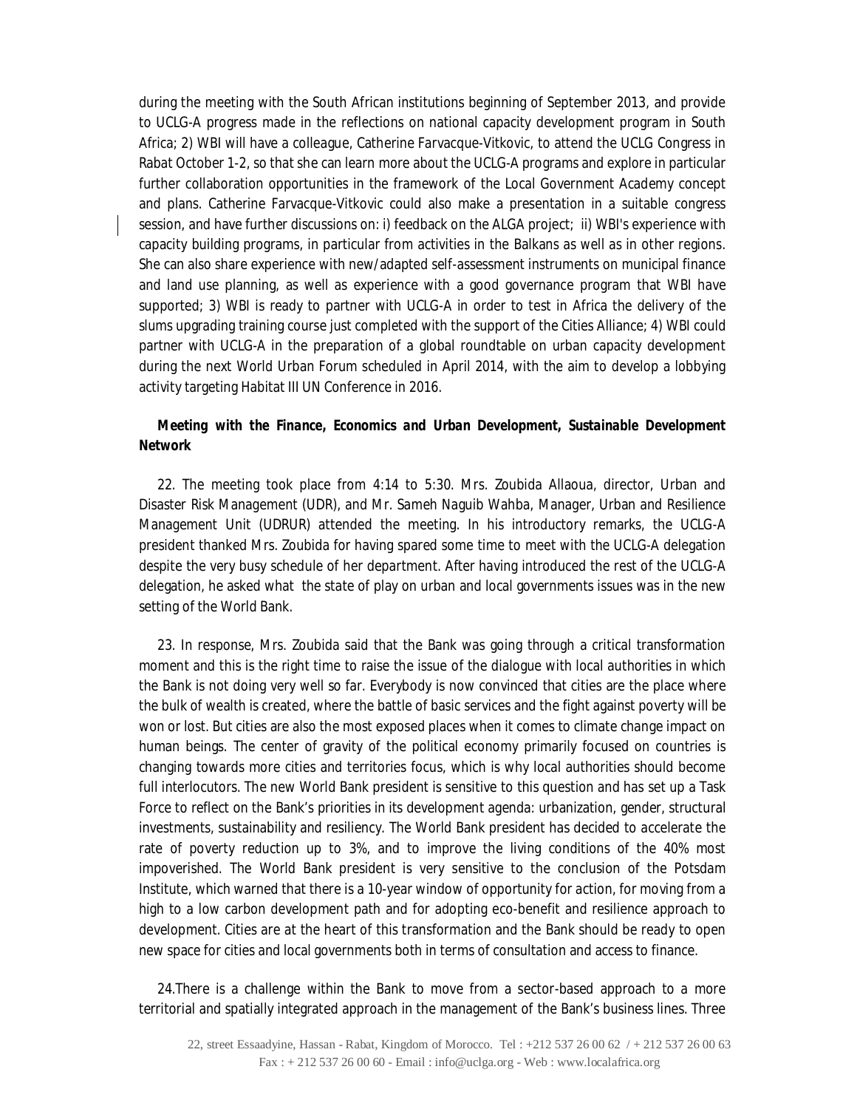during the meeting with the South African institutions beginning of September 2013, and provide to UCLG-A progress made in the reflections on national capacity development program in South Africa; 2) WBI will have a colleague, Catherine Farvacque-Vitkovic, to attend the UCLG Congress in Rabat October 1-2, so that she can learn more about the UCLG-A programs and explore in particular further collaboration opportunities in the framework of the Local Government Academy concept and plans. Catherine Farvacque-Vitkovic could also make a presentation in a suitable congress session, and have further discussions on: i) feedback on the ALGA project; ii) WBI's experience with capacity building programs, in particular from activities in the Balkans as well as in other regions. She can also share experience with new/adapted self-assessment instruments on municipal finance and land use planning, as well as experience with a good governance program that WBI have supported; 3) WBI is ready to partner with UCLG-A in order to test in Africa the delivery of the slums upgrading training course just completed with the support of the Cities Alliance; 4) WBI could partner with UCLG-A in the preparation of a global roundtable on urban capacity development during the next World Urban Forum scheduled in April 2014, with the aim to develop a lobbying activity targeting Habitat III UN Conference in 2016.

# *Meeting with the Finance, Economics and Urban Development, Sustainable Development Network*

22. The meeting took place from 4:14 to 5:30. Mrs. Zoubida Allaoua, director, Urban and Disaster Risk Management (UDR), and Mr. Sameh Naguib Wahba, Manager, Urban and Resilience Management Unit (UDRUR) attended the meeting. In his introductory remarks, the UCLG-A president thanked Mrs. Zoubida for having spared some time to meet with the UCLG-A delegation despite the very busy schedule of her department. After having introduced the rest of the UCLG-A delegation, he asked what the state of play on urban and local governments issues was in the new setting of the World Bank.

23. In response, Mrs. Zoubida said that the Bank was going through a critical transformation moment and this is the right time to raise the issue of the dialogue with local authorities in which the Bank is not doing very well so far. Everybody is now convinced that cities are the place where the bulk of wealth is created, where the battle of basic services and the fight against poverty will be won or lost. But cities are also the most exposed places when it comes to climate change impact on human beings. The center of gravity of the political economy primarily focused on countries is changing towards more cities and territories focus, which is why local authorities should become full interlocutors. The new World Bank president is sensitive to this question and has set up a Task Force to reflect on the Bank's priorities in its development agenda: urbanization, gender, structural investments, sustainability and resiliency. The World Bank president has decided to accelerate the rate of poverty reduction up to 3%, and to improve the living conditions of the 40% most impoverished. The World Bank president is very sensitive to the conclusion of the Potsdam Institute, which warned that there is a 10-year window of opportunity for action, for moving from a high to a low carbon development path and for adopting eco-benefit and resilience approach to development. Cities are at the heart of this transformation and the Bank should be ready to open new space for cities and local governments both in terms of consultation and access to finance.

24.There is a challenge within the Bank to move from a sector-based approach to a more territorial and spatially integrated approach in the management of the Bank's business lines. Three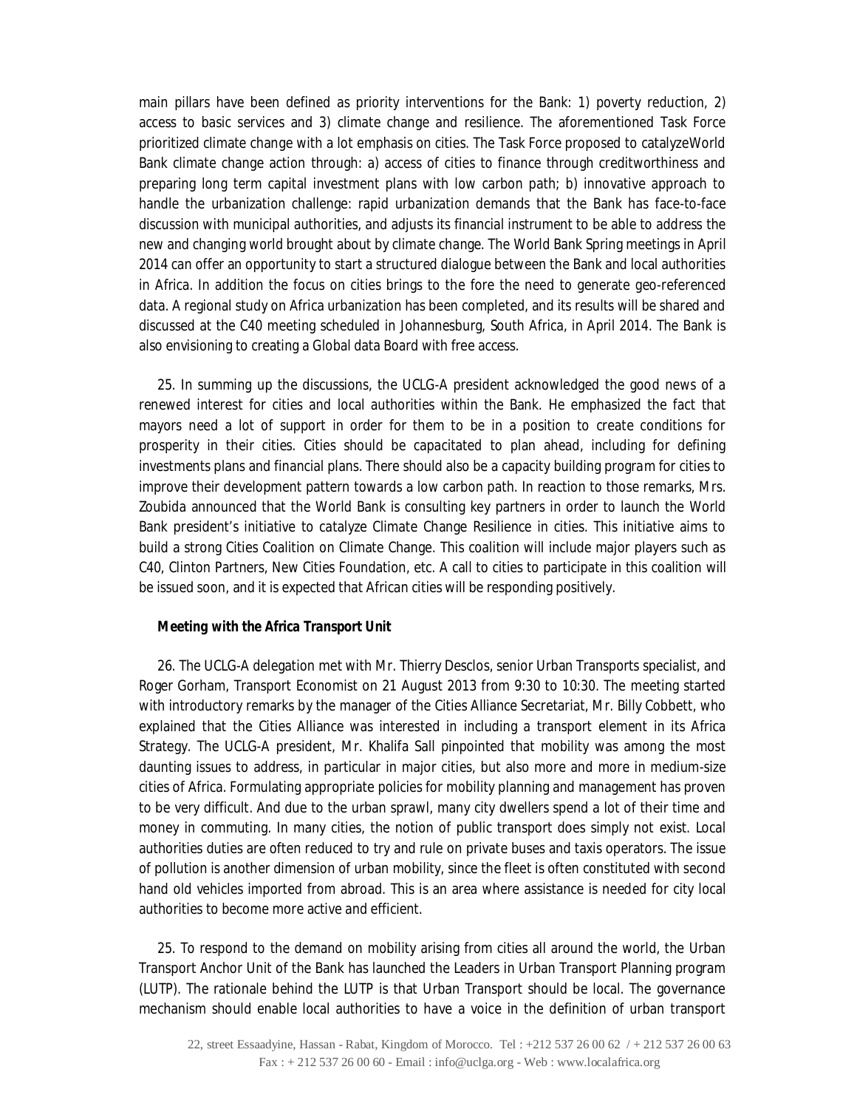main pillars have been defined as priority interventions for the Bank: 1) poverty reduction, 2) access to basic services and 3) climate change and resilience. The aforementioned Task Force prioritized climate change with a lot emphasis on cities. The Task Force proposed to catalyzeWorld Bank climate change action through: a) access of cities to finance through creditworthiness and preparing long term capital investment plans with low carbon path; b) innovative approach to handle the urbanization challenge: rapid urbanization demands that the Bank has face-to-face discussion with municipal authorities, and adjusts its financial instrument to be able to address the new and changing world brought about by climate change. The World Bank Spring meetings in April 2014 can offer an opportunity to start a structured dialogue between the Bank and local authorities in Africa. In addition the focus on cities brings to the fore the need to generate geo-referenced data. A regional study on Africa urbanization has been completed, and its results will be shared and discussed at the C40 meeting scheduled in Johannesburg, South Africa, in April 2014. The Bank is also envisioning to creating a Global data Board with free access.

25. In summing up the discussions, the UCLG-A president acknowledged the good news of a renewed interest for cities and local authorities within the Bank. He emphasized the fact that mayors need a lot of support in order for them to be in a position to create conditions for prosperity in their cities. Cities should be capacitated to plan ahead, including for defining investments plans and financial plans. There should also be a capacity building program for cities to improve their development pattern towards a low carbon path. In reaction to those remarks, Mrs. Zoubida announced that the World Bank is consulting key partners in order to launch the World Bank president's initiative to catalyze Climate Change Resilience in cities. This initiative aims to build a strong Cities Coalition on Climate Change. This coalition will include major players such as C40, Clinton Partners, New Cities Foundation, etc. A call to cities to participate in this coalition will be issued soon, and it is expected that African cities will be responding positively.

### *Meeting with the Africa Transport Unit*

26. The UCLG-A delegation met with Mr. Thierry Desclos, senior Urban Transports specialist, and Roger Gorham, Transport Economist on 21 August 2013 from 9:30 to 10:30. The meeting started with introductory remarks by the manager of the Cities Alliance Secretariat, Mr. Billy Cobbett, who explained that the Cities Alliance was interested in including a transport element in its Africa Strategy. The UCLG-A president, Mr. Khalifa Sall pinpointed that mobility was among the most daunting issues to address, in particular in major cities, but also more and more in medium-size cities of Africa. Formulating appropriate policies for mobility planning and management has proven to be very difficult. And due to the urban sprawl, many city dwellers spend a lot of their time and money in commuting. In many cities, the notion of public transport does simply not exist. Local authorities duties are often reduced to try and rule on private buses and taxis operators. The issue of pollution is another dimension of urban mobility, since the fleet is often constituted with second hand old vehicles imported from abroad. This is an area where assistance is needed for city local authorities to become more active and efficient.

25. To respond to the demand on mobility arising from cities all around the world, the Urban Transport Anchor Unit of the Bank has launched the Leaders in Urban Transport Planning program (LUTP). The rationale behind the LUTP is that Urban Transport should be local. The governance mechanism should enable local authorities to have a voice in the definition of urban transport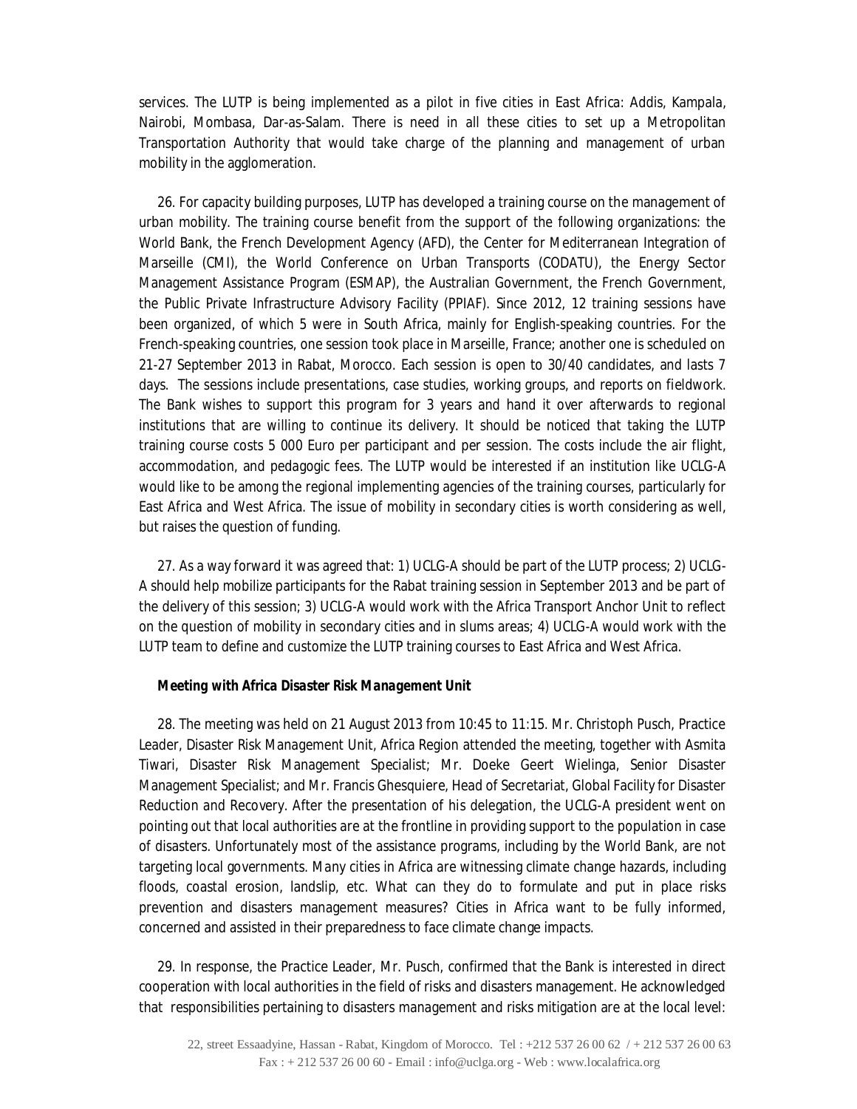services. The LUTP is being implemented as a pilot in five cities in East Africa: Addis, Kampala, Nairobi, Mombasa, Dar-as-Salam. There is need in all these cities to set up a Metropolitan Transportation Authority that would take charge of the planning and management of urban mobility in the agglomeration.

26. For capacity building purposes, LUTP has developed a training course on the management of urban mobility. The training course benefit from the support of the following organizations: the World Bank, the French Development Agency (AFD), the Center for Mediterranean Integration of Marseille (CMI), the World Conference on Urban Transports (CODATU), the Energy Sector Management Assistance Program (ESMAP), the Australian Government, the French Government, the Public Private Infrastructure Advisory Facility (PPIAF). Since 2012, 12 training sessions have been organized, of which 5 were in South Africa, mainly for English-speaking countries. For the French-speaking countries, one session took place in Marseille, France; another one is scheduled on 21-27 September 2013 in Rabat, Morocco. Each session is open to 30/40 candidates, and lasts 7 days. The sessions include presentations, case studies, working groups, and reports on fieldwork. The Bank wishes to support this program for 3 years and hand it over afterwards to regional institutions that are willing to continue its delivery. It should be noticed that taking the LUTP training course costs 5 000 Euro per participant and per session. The costs include the air flight, accommodation, and pedagogic fees. The LUTP would be interested if an institution like UCLG-A would like to be among the regional implementing agencies of the training courses, particularly for East Africa and West Africa. The issue of mobility in secondary cities is worth considering as well, but raises the question of funding.

27. As a way forward it was agreed that: 1) UCLG-A should be part of the LUTP process; 2) UCLG-A should help mobilize participants for the Rabat training session in September 2013 and be part of the delivery of this session; 3) UCLG-A would work with the Africa Transport Anchor Unit to reflect on the question of mobility in secondary cities and in slums areas; 4) UCLG-A would work with the LUTP team to define and customize the LUTP training courses to East Africa and West Africa.

### *Meeting with Africa Disaster Risk Management Unit*

28. The meeting was held on 21 August 2013 from 10:45 to 11:15. Mr. Christoph Pusch, Practice Leader, Disaster Risk Management Unit, Africa Region attended the meeting, together with Asmita Tiwari, Disaster Risk Management Specialist; Mr. Doeke Geert Wielinga, Senior Disaster Management Specialist; and Mr. Francis Ghesquiere, Head of Secretariat, Global Facility for Disaster Reduction and Recovery. After the presentation of his delegation, the UCLG-A president went on pointing out that local authorities are at the frontline in providing support to the population in case of disasters. Unfortunately most of the assistance programs, including by the World Bank, are not targeting local governments. Many cities in Africa are witnessing climate change hazards, including floods, coastal erosion, landslip, etc. What can they do to formulate and put in place risks prevention and disasters management measures? Cities in Africa want to be fully informed, concerned and assisted in their preparedness to face climate change impacts.

29. In response, the Practice Leader, Mr. Pusch, confirmed that the Bank is interested in direct cooperation with local authorities in the field of risks and disasters management. He acknowledged that responsibilities pertaining to disasters management and risks mitigation are at the local level: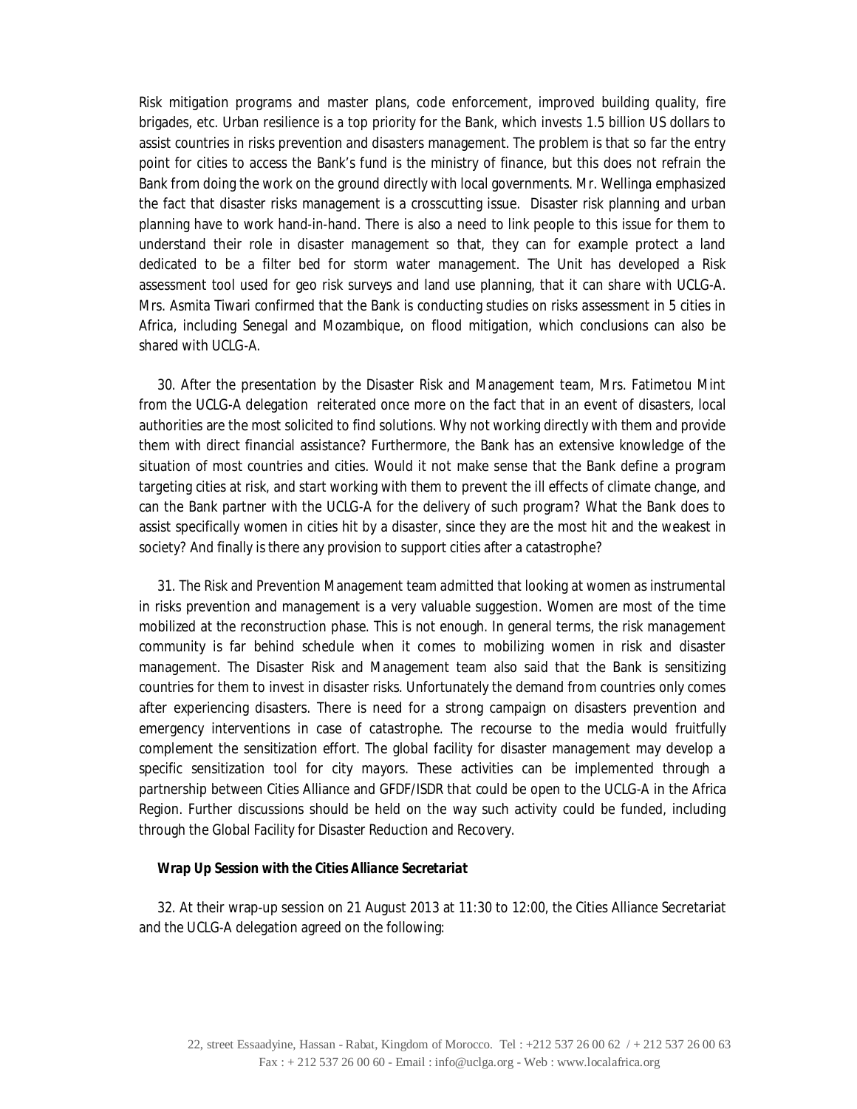Risk mitigation programs and master plans, code enforcement, improved building quality, fire brigades, etc. Urban resilience is a top priority for the Bank, which invests 1.5 billion US dollars to assist countries in risks prevention and disasters management. The problem is that so far the entry point for cities to access the Bank's fund is the ministry of finance, but this does not refrain the Bank from doing the work on the ground directly with local governments. Mr. Wellinga emphasized the fact that disaster risks management is a crosscutting issue. Disaster risk planning and urban planning have to work hand-in-hand. There is also a need to link people to this issue for them to understand their role in disaster management so that, they can for example protect a land dedicated to be a filter bed for storm water management. The Unit has developed a Risk assessment tool used for geo risk surveys and land use planning, that it can share with UCLG-A. Mrs. Asmita Tiwari confirmed that the Bank is conducting studies on risks assessment in 5 cities in Africa, including Senegal and Mozambique, on flood mitigation, which conclusions can also be shared with UCLG-A.

30. After the presentation by the Disaster Risk and Management team, Mrs. Fatimetou Mint from the UCLG-A delegation reiterated once more on the fact that in an event of disasters, local authorities are the most solicited to find solutions. Why not working directly with them and provide them with direct financial assistance? Furthermore, the Bank has an extensive knowledge of the situation of most countries and cities. Would it not make sense that the Bank define a program targeting cities at risk, and start working with them to prevent the ill effects of climate change, and can the Bank partner with the UCLG-A for the delivery of such program? What the Bank does to assist specifically women in cities hit by a disaster, since they are the most hit and the weakest in society? And finally is there any provision to support cities after a catastrophe?

31. The Risk and Prevention Management team admitted that looking at women as instrumental in risks prevention and management is a very valuable suggestion. Women are most of the time mobilized at the reconstruction phase. This is not enough. In general terms, the risk management community is far behind schedule when it comes to mobilizing women in risk and disaster management. The Disaster Risk and Management team also said that the Bank is sensitizing countries for them to invest in disaster risks. Unfortunately the demand from countries only comes after experiencing disasters. There is need for a strong campaign on disasters prevention and emergency interventions in case of catastrophe. The recourse to the media would fruitfully complement the sensitization effort. The global facility for disaster management may develop a specific sensitization tool for city mayors. These activities can be implemented through a partnership between Cities Alliance and GFDF/ISDR that could be open to the UCLG-A in the Africa Region. Further discussions should be held on the way such activity could be funded, including through the Global Facility for Disaster Reduction and Recovery.

#### *Wrap Up Session with the Cities Alliance Secretariat*

32. At their wrap-up session on 21 August 2013 at 11:30 to 12:00, the Cities Alliance Secretariat and the UCLG-A delegation agreed on the following: